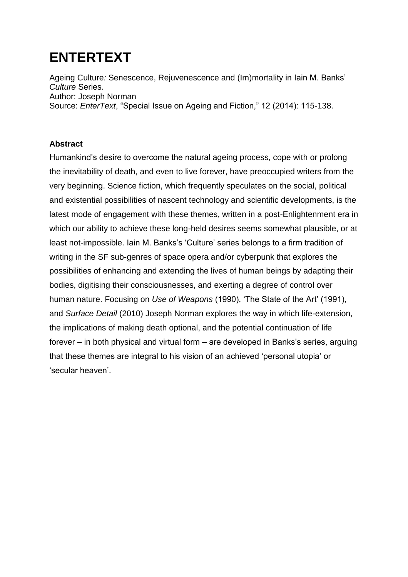# **ENTERTEXT**

Ageing Culture*:* Senescence, Rejuvenescence and (Im)mortality in Iain M. Banks' *Culture* Series. Author: Joseph Norman Source: *EnterText*, "Special Issue on Ageing and Fiction," 12 (2014): 115-138.

### **Abstract**

Humankind's desire to overcome the natural ageing process, cope with or prolong the inevitability of death, and even to live forever, have preoccupied writers from the very beginning. Science fiction, which frequently speculates on the social, political and existential possibilities of nascent technology and scientific developments, is the latest mode of engagement with these themes, written in a post-Enlightenment era in which our ability to achieve these long-held desires seems somewhat plausible, or at least not-impossible. Iain M. Banks's 'Culture' series belongs to a firm tradition of writing in the SF sub-genres of space opera and/or cyberpunk that explores the possibilities of enhancing and extending the lives of human beings by adapting their bodies, digitising their consciousnesses, and exerting a degree of control over human nature. Focusing on *Use of Weapons* (1990), 'The State of the Art' (1991), and *Surface Detail* (2010) Joseph Norman explores the way in which life-extension, the implications of making death optional, and the potential continuation of life forever – in both physical and virtual form – are developed in Banks's series, arguing that these themes are integral to his vision of an achieved 'personal utopia' or 'secular heaven'.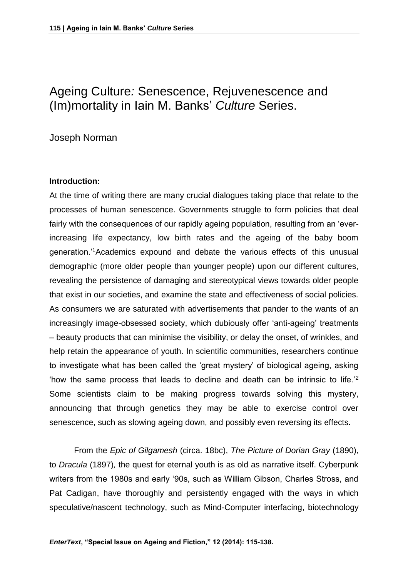## Ageing Culture*:* Senescence, Rejuvenescence and (Im)mortality in Iain M. Banks' *Culture* Series.

Joseph Norman

#### **Introduction:**

At the time of writing there are many crucial dialogues taking place that relate to the processes of human senescence. Governments struggle to form policies that deal fairly with the consequences of our rapidly ageing population, resulting from an 'everincreasing life expectancy, low birth rates and the ageing of the baby boom generation.'<sup>1</sup>Academics expound and debate the various effects of this unusual demographic (more older people than younger people) upon our different cultures, revealing the persistence of damaging and stereotypical views towards older people that exist in our societies, and examine the state and effectiveness of social policies. As consumers we are saturated with advertisements that pander to the wants of an increasingly image-obsessed society, which dubiously offer 'anti-ageing' treatments – beauty products that can minimise the visibility, or delay the onset, of wrinkles, and help retain the appearance of youth. In scientific communities, researchers continue to investigate what has been called the 'great mystery' of biological ageing, asking 'how the same process that leads to decline and death can be intrinsic to life.'<sup>2</sup> Some scientists claim to be making progress towards solving this mystery, announcing that through genetics they may be able to exercise control over senescence, such as slowing ageing down, and possibly even reversing its effects.

From the *Epic of Gilgamesh* (circa. 18bc), *The Picture of Dorian Gray* (1890), to *Dracula* (1897)*,* the quest for eternal youth is as old as narrative itself. Cyberpunk writers from the 1980s and early '90s, such as William Gibson, Charles Stross, and Pat Cadigan, have thoroughly and persistently engaged with the ways in which speculative/nascent technology, such as Mind-Computer interfacing, biotechnology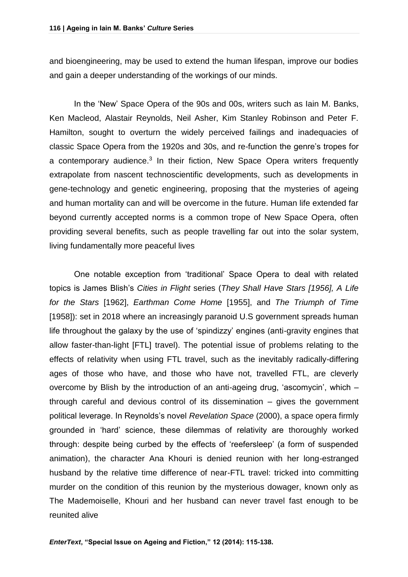and bioengineering, may be used to extend the human lifespan, improve our bodies and gain a deeper understanding of the workings of our minds.

In the 'New' Space Opera of the 90s and 00s, writers such as Iain M. Banks, Ken Macleod, Alastair Reynolds, Neil Asher, Kim Stanley Robinson and Peter F. Hamilton, sought to overturn the widely perceived failings and inadequacies of classic Space Opera from the 1920s and 30s, and re-function the genre's tropes for a contemporary audience.<sup>3</sup> In their fiction, New Space Opera writers frequently extrapolate from nascent technoscientific developments, such as developments in gene-technology and genetic engineering, proposing that the mysteries of ageing and human mortality can and will be overcome in the future. Human life extended far beyond currently accepted norms is a common trope of New Space Opera, often providing several benefits, such as people travelling far out into the solar system, living fundamentally more peaceful lives

One notable exception from 'traditional' Space Opera to deal with related topics is James Blish's *Cities in Flight* series (*They Shall Have Stars [1956], A Life for the Stars* [1962], *Earthman Come Home* [1955], and *The Triumph of Time*  [1958]): set in 2018 where an increasingly paranoid U.S government spreads human life throughout the galaxy by the use of 'spindizzy' engines (anti-gravity engines that allow faster-than-light [FTL] travel). The potential issue of problems relating to the effects of relativity when using FTL travel, such as the inevitably radically-differing ages of those who have, and those who have not, travelled FTL, are cleverly overcome by Blish by the introduction of an anti-ageing drug, 'ascomycin', which – through careful and devious control of its dissemination – gives the government political leverage. In Reynolds's novel *Revelation Space* (2000), a space opera firmly grounded in 'hard' science, these dilemmas of relativity are thoroughly worked through: despite being curbed by the effects of 'reefersleep' (a form of suspended animation), the character Ana Khouri is denied reunion with her long-estranged husband by the relative time difference of near-FTL travel: tricked into committing murder on the condition of this reunion by the mysterious dowager, known only as The Mademoiselle, Khouri and her husband can never travel fast enough to be reunited alive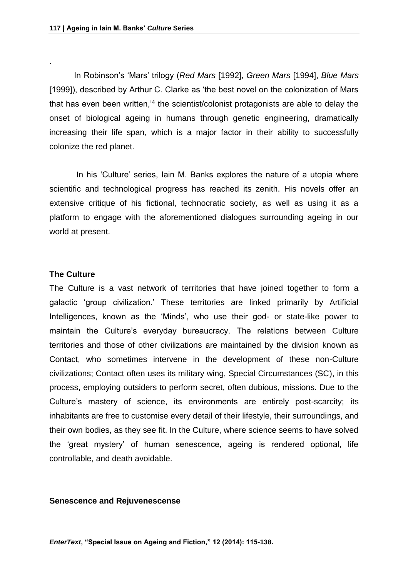In Robinson's 'Mars' trilogy (*Red Mars* [1992], *Green Mars* [1994], *Blue Mars* [1999]), described by Arthur C. Clarke as 'the best novel on the colonization of Mars that has even been written,<sup>4</sup> the scientist/colonist protagonists are able to delay the onset of biological ageing in humans through genetic engineering, dramatically increasing their life span, which is a major factor in their ability to successfully colonize the red planet.

In his 'Culture' series, Iain M. Banks explores the nature of a utopia where scientific and technological progress has reached its zenith. His novels offer an extensive critique of his fictional, technocratic society, as well as using it as a platform to engage with the aforementioned dialogues surrounding ageing in our world at present.

#### **The Culture**

.

The Culture is a vast network of territories that have joined together to form a galactic 'group civilization.' These territories are linked primarily by Artificial Intelligences, known as the 'Minds', who use their god- or state-like power to maintain the Culture's everyday bureaucracy. The relations between Culture territories and those of other civilizations are maintained by the division known as Contact, who sometimes intervene in the development of these non-Culture civilizations; Contact often uses its military wing, Special Circumstances (SC), in this process, employing outsiders to perform secret, often dubious, missions. Due to the Culture's mastery of science, its environments are entirely post-scarcity; its inhabitants are free to customise every detail of their lifestyle, their surroundings, and their own bodies, as they see fit. In the Culture, where science seems to have solved the 'great mystery' of human senescence, ageing is rendered optional, life controllable, and death avoidable.

#### **Senescence and Rejuvenescense**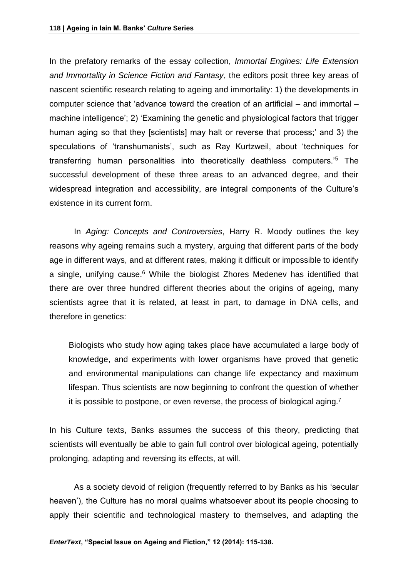In the prefatory remarks of the essay collection, *Immortal Engines: Life Extension and Immortality in Science Fiction and Fantasy*, the editors posit three key areas of nascent scientific research relating to ageing and immortality: 1) the developments in computer science that 'advance toward the creation of an artificial  $-$  and immortal  $$ machine intelligence'; 2) 'Examining the genetic and physiological factors that trigger human aging so that they [scientists] may halt or reverse that process;' and 3) the speculations of 'transhumanists', such as Ray Kurtzweil, about 'techniques for transferring human personalities into theoretically deathless computers.'<sup>5</sup> The successful development of these three areas to an advanced degree, and their widespread integration and accessibility, are integral components of the Culture's existence in its current form.

In *Aging: Concepts and Controversies*, Harry R. Moody outlines the key reasons why ageing remains such a mystery, arguing that different parts of the body age in different ways, and at different rates, making it difficult or impossible to identify a single, unifying cause.<sup>6</sup> While the biologist Zhores Medeney has identified that there are over three hundred different theories about the origins of ageing, many scientists agree that it is related, at least in part, to damage in DNA cells, and therefore in genetics:

Biologists who study how aging takes place have accumulated a large body of knowledge, and experiments with lower organisms have proved that genetic and environmental manipulations can change life expectancy and maximum lifespan. Thus scientists are now beginning to confront the question of whether it is possible to postpone, or even reverse, the process of biological aging.<sup>7</sup>

In his Culture texts, Banks assumes the success of this theory, predicting that scientists will eventually be able to gain full control over biological ageing, potentially prolonging, adapting and reversing its effects, at will.

As a society devoid of religion (frequently referred to by Banks as his 'secular heaven'), the Culture has no moral qualms whatsoever about its people choosing to apply their scientific and technological mastery to themselves, and adapting the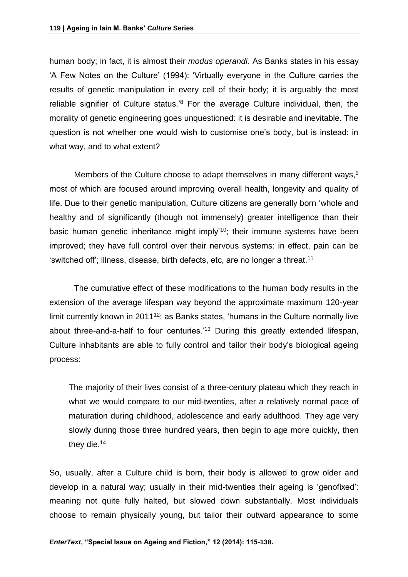human body; in fact, it is almost their *modus operandi.* As Banks states in his essay 'A Few Notes on the Culture' (1994): 'Virtually everyone in the Culture carries the results of genetic manipulation in every cell of their body; it is arguably the most reliable signifier of Culture status.'<sup>8</sup> For the average Culture individual, then, the morality of genetic engineering goes unquestioned: it is desirable and inevitable. The question is not whether one would wish to customise one's body, but is instead: in what way, and to what extent?

Members of the Culture choose to adapt themselves in many different ways,  $9$ most of which are focused around improving overall health, longevity and quality of life. Due to their genetic manipulation, Culture citizens are generally born 'whole and healthy and of significantly (though not immensely) greater intelligence than their basic human genetic inheritance might imply'<sup>10</sup>; their immune systems have been improved; they have full control over their nervous systems: in effect, pain can be 'switched off'; illness, disease, birth defects, etc, are no longer a threat.<sup>11</sup>

The cumulative effect of these modifications to the human body results in the extension of the average lifespan way beyond the approximate maximum 120-year limit currently known in  $2011^{12}$ : as Banks states, 'humans in the Culture normally live about three-and-a-half to four centuries.<sup>'13</sup> During this greatly extended lifespan, Culture inhabitants are able to fully control and tailor their body's biological ageing process:

The majority of their lives consist of a three-century plateau which they reach in what we would compare to our mid-twenties, after a relatively normal pace of maturation during childhood, adolescence and early adulthood. They age very slowly during those three hundred years, then begin to age more quickly, then they die.<sup>14</sup>

So, usually, after a Culture child is born, their body is allowed to grow older and develop in a natural way; usually in their mid-twenties their ageing is 'genofixed': meaning not quite fully halted, but slowed down substantially. Most individuals choose to remain physically young, but tailor their outward appearance to some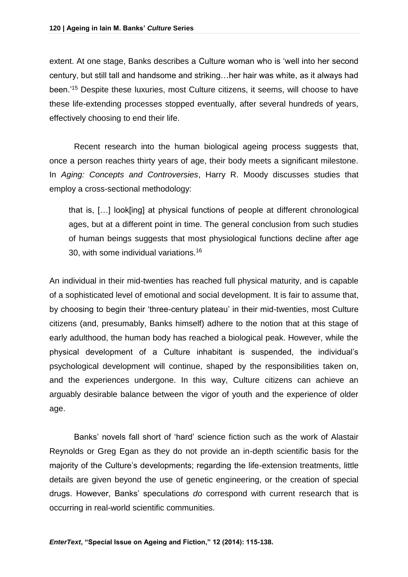extent. At one stage, Banks describes a Culture woman who is 'well into her second century, but still tall and handsome and striking…her hair was white, as it always had been.'<sup>15</sup> Despite these luxuries, most Culture citizens, it seems, will choose to have these life-extending processes stopped eventually, after several hundreds of years, effectively choosing to end their life.

Recent research into the human biological ageing process suggests that, once a person reaches thirty years of age, their body meets a significant milestone. In *Aging: Concepts and Controversies*, Harry R. Moody discusses studies that employ a cross-sectional methodology:

that is, […] look[ing] at physical functions of people at different chronological ages, but at a different point in time. The general conclusion from such studies of human beings suggests that most physiological functions decline after age 30, with some individual variations.<sup>16</sup>

An individual in their mid-twenties has reached full physical maturity, and is capable of a sophisticated level of emotional and social development. It is fair to assume that, by choosing to begin their 'three-century plateau' in their mid-twenties, most Culture citizens (and, presumably, Banks himself) adhere to the notion that at this stage of early adulthood, the human body has reached a biological peak. However, while the physical development of a Culture inhabitant is suspended, the individual's psychological development will continue, shaped by the responsibilities taken on, and the experiences undergone. In this way, Culture citizens can achieve an arguably desirable balance between the vigor of youth and the experience of older age.

Banks' novels fall short of 'hard' science fiction such as the work of Alastair Reynolds or Greg Egan as they do not provide an in-depth scientific basis for the majority of the Culture's developments; regarding the life-extension treatments, little details are given beyond the use of genetic engineering, or the creation of special drugs. However, Banks' speculations *do* correspond with current research that is occurring in real-world scientific communities.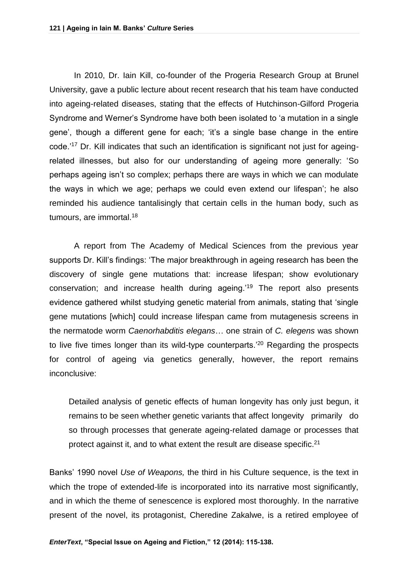In 2010, Dr. Iain Kill, co-founder of the Progeria Research Group at Brunel University, gave a public lecture about recent research that his team have conducted into ageing-related diseases, stating that the effects of Hutchinson-Gilford Progeria Syndrome and Werner's Syndrome have both been isolated to 'a mutation in a single gene', though a different gene for each; 'it's a single base change in the entire code.'<sup>17</sup> Dr. Kill indicates that such an identification is significant not just for ageingrelated illnesses, but also for our understanding of ageing more generally: 'So perhaps ageing isn't so complex; perhaps there are ways in which we can modulate the ways in which we age; perhaps we could even extend our lifespan'; he also reminded his audience tantalisingly that certain cells in the human body, such as tumours, are immortal.<sup>18</sup>

A report from The Academy of Medical Sciences from the previous year supports Dr. Kill's findings: 'The major breakthrough in ageing research has been the discovery of single gene mutations that: increase lifespan; show evolutionary conservation; and increase health during ageing.'<sup>19</sup> The report also presents evidence gathered whilst studying genetic material from animals, stating that 'single gene mutations [which] could increase lifespan came from mutagenesis screens in the nermatode worm *Caenorhabditis elegans*… one strain of *C. elegens* was shown to live five times longer than its wild-type counterparts.'<sup>20</sup> Regarding the prospects for control of ageing via genetics generally, however, the report remains inconclusive:

Detailed analysis of genetic effects of human longevity has only just begun, it remains to be seen whether genetic variants that affect longevity primarily do so through processes that generate ageing-related damage or processes that protect against it, and to what extent the result are disease specific.<sup>21</sup>

Banks' 1990 novel *Use of Weapons,* the third in his Culture sequence, is the text in which the trope of extended-life is incorporated into its narrative most significantly, and in which the theme of senescence is explored most thoroughly. In the narrative present of the novel, its protagonist, Cheredine Zakalwe, is a retired employee of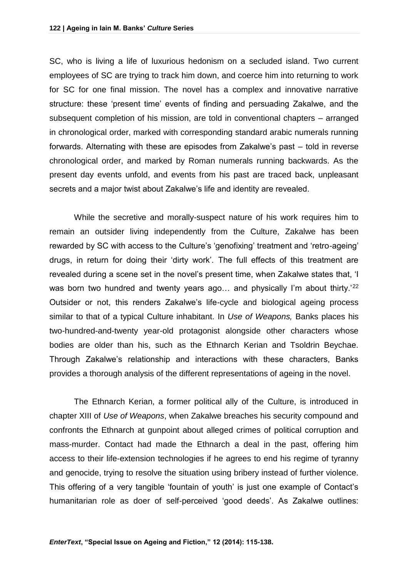SC, who is living a life of luxurious hedonism on a secluded island. Two current employees of SC are trying to track him down, and coerce him into returning to work for SC for one final mission. The novel has a complex and innovative narrative structure: these 'present time' events of finding and persuading Zakalwe, and the subsequent completion of his mission, are told in conventional chapters – arranged in chronological order, marked with corresponding standard arabic numerals running forwards. Alternating with these are episodes from Zakalwe's past – told in reverse chronological order, and marked by Roman numerals running backwards. As the present day events unfold, and events from his past are traced back, unpleasant secrets and a major twist about Zakalwe's life and identity are revealed.

While the secretive and morally-suspect nature of his work requires him to remain an outsider living independently from the Culture, Zakalwe has been rewarded by SC with access to the Culture's 'genofixing' treatment and 'retro-ageing' drugs, in return for doing their 'dirty work'. The full effects of this treatment are revealed during a scene set in the novel's present time, when Zakalwe states that, 'I was born two hundred and twenty years ago... and physically I'm about thirty.<sup>'22</sup> Outsider or not, this renders Zakalwe's life-cycle and biological ageing process similar to that of a typical Culture inhabitant. In *Use of Weapons,* Banks places his two-hundred-and-twenty year-old protagonist alongside other characters whose bodies are older than his, such as the Ethnarch Kerian and Tsoldrin Beychae. Through Zakalwe's relationship and interactions with these characters, Banks provides a thorough analysis of the different representations of ageing in the novel.

The Ethnarch Kerian, a former political ally of the Culture, is introduced in chapter XIII of *Use of Weapons*, when Zakalwe breaches his security compound and confronts the Ethnarch at gunpoint about alleged crimes of political corruption and mass-murder. Contact had made the Ethnarch a deal in the past, offering him access to their life-extension technologies if he agrees to end his regime of tyranny and genocide, trying to resolve the situation using bribery instead of further violence. This offering of a very tangible 'fountain of youth' is just one example of Contact's humanitarian role as doer of self-perceived 'good deeds'. As Zakalwe outlines: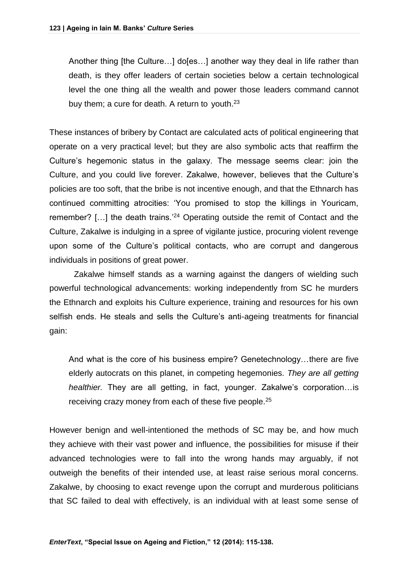Another thing [the Culture…] do[es…] another way they deal in life rather than death, is they offer leaders of certain societies below a certain technological level the one thing all the wealth and power those leaders command cannot buy them; a cure for death. A return to youth.<sup>23</sup>

These instances of bribery by Contact are calculated acts of political engineering that operate on a very practical level; but they are also symbolic acts that reaffirm the Culture's hegemonic status in the galaxy. The message seems clear: join the Culture, and you could live forever. Zakalwe, however, believes that the Culture's policies are too soft, that the bribe is not incentive enough, and that the Ethnarch has continued committing atrocities: 'You promised to stop the killings in Youricam, remember? [...] the death trains.<sup>24</sup> Operating outside the remit of Contact and the Culture, Zakalwe is indulging in a spree of vigilante justice, procuring violent revenge upon some of the Culture's political contacts, who are corrupt and dangerous individuals in positions of great power.

Zakalwe himself stands as a warning against the dangers of wielding such powerful technological advancements: working independently from SC he murders the Ethnarch and exploits his Culture experience, training and resources for his own selfish ends. He steals and sells the Culture's anti-ageing treatments for financial gain:

And what is the core of his business empire? Genetechnology…there are five elderly autocrats on this planet, in competing hegemonies. *They are all getting healthier.* They are all getting, in fact, younger. Zakalwe's corporation…is receiving crazy money from each of these five people.<sup>25</sup>

However benign and well-intentioned the methods of SC may be, and how much they achieve with their vast power and influence, the possibilities for misuse if their advanced technologies were to fall into the wrong hands may arguably, if not outweigh the benefits of their intended use, at least raise serious moral concerns. Zakalwe, by choosing to exact revenge upon the corrupt and murderous politicians that SC failed to deal with effectively, is an individual with at least some sense of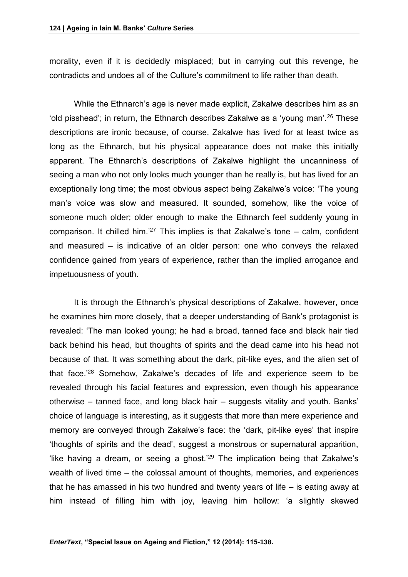morality, even if it is decidedly misplaced; but in carrying out this revenge, he contradicts and undoes all of the Culture's commitment to life rather than death.

While the Ethnarch's age is never made explicit, Zakalwe describes him as an 'old pisshead'; in return, the Ethnarch describes Zakalwe as a 'young man'.<sup>26</sup> These descriptions are ironic because, of course, Zakalwe has lived for at least twice as long as the Ethnarch, but his physical appearance does not make this initially apparent. The Ethnarch's descriptions of Zakalwe highlight the uncanniness of seeing a man who not only looks much younger than he really is, but has lived for an exceptionally long time; the most obvious aspect being Zakalwe's voice: 'The young man's voice was slow and measured. It sounded, somehow, like the voice of someone much older; older enough to make the Ethnarch feel suddenly young in comparison. It chilled him.<sup>'27</sup> This implies is that Zakalwe's tone  $-$  calm, confident and measured – is indicative of an older person: one who conveys the relaxed confidence gained from years of experience, rather than the implied arrogance and impetuousness of youth.

It is through the Ethnarch's physical descriptions of Zakalwe, however, once he examines him more closely, that a deeper understanding of Bank's protagonist is revealed: 'The man looked young; he had a broad, tanned face and black hair tied back behind his head, but thoughts of spirits and the dead came into his head not because of that. It was something about the dark, pit-like eyes, and the alien set of that face.'<sup>28</sup> Somehow, Zakalwe's decades of life and experience seem to be revealed through his facial features and expression, even though his appearance otherwise – tanned face, and long black hair – suggests vitality and youth. Banks' choice of language is interesting, as it suggests that more than mere experience and memory are conveyed through Zakalwe's face: the 'dark, pit-like eyes' that inspire 'thoughts of spirits and the dead', suggest a monstrous or supernatural apparition, 'like having a dream, or seeing a ghost.<sup>'29</sup> The implication being that Zakalwe's wealth of lived time – the colossal amount of thoughts, memories, and experiences that he has amassed in his two hundred and twenty years of life – is eating away at him instead of filling him with joy, leaving him hollow: 'a slightly skewed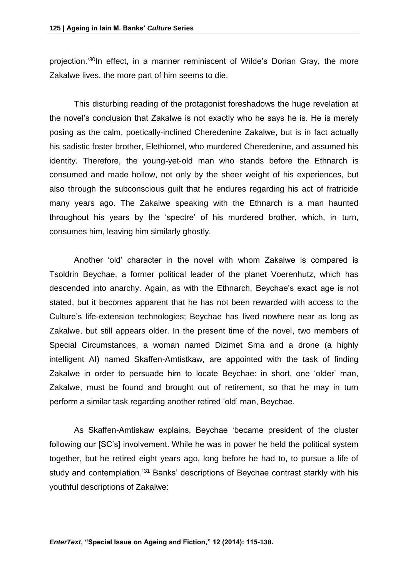projection.'<sup>30</sup>In effect, in a manner reminiscent of Wilde's Dorian Gray, the more Zakalwe lives, the more part of him seems to die.

This disturbing reading of the protagonist foreshadows the huge revelation at the novel's conclusion that Zakalwe is not exactly who he says he is. He is merely posing as the calm, poetically-inclined Cheredenine Zakalwe, but is in fact actually his sadistic foster brother, Elethiomel, who murdered Cheredenine, and assumed his identity. Therefore, the young-yet-old man who stands before the Ethnarch is consumed and made hollow, not only by the sheer weight of his experiences, but also through the subconscious guilt that he endures regarding his act of fratricide many years ago. The Zakalwe speaking with the Ethnarch is a man haunted throughout his years by the 'spectre' of his murdered brother, which, in turn, consumes him, leaving him similarly ghostly.

Another 'old' character in the novel with whom Zakalwe is compared is Tsoldrin Beychae, a former political leader of the planet Voerenhutz, which has descended into anarchy. Again, as with the Ethnarch, Beychae's exact age is not stated, but it becomes apparent that he has not been rewarded with access to the Culture's life-extension technologies; Beychae has lived nowhere near as long as Zakalwe, but still appears older. In the present time of the novel, two members of Special Circumstances, a woman named Dizimet Sma and a drone (a highly intelligent AI) named Skaffen-Amtistkaw, are appointed with the task of finding Zakalwe in order to persuade him to locate Beychae: in short, one 'older' man, Zakalwe, must be found and brought out of retirement, so that he may in turn perform a similar task regarding another retired 'old' man, Beychae.

As Skaffen-Amtiskaw explains, Beychae 'became president of the cluster following our [SC's] involvement. While he was in power he held the political system together, but he retired eight years ago, long before he had to, to pursue a life of study and contemplation.<sup>31</sup> Banks' descriptions of Beychae contrast starkly with his youthful descriptions of Zakalwe: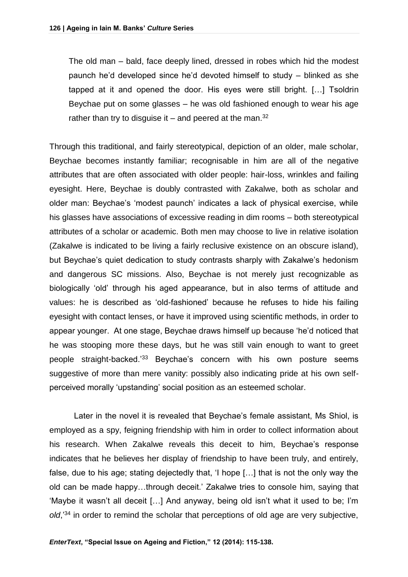The old man – bald, face deeply lined, dressed in robes which hid the modest paunch he'd developed since he'd devoted himself to study – blinked as she tapped at it and opened the door. His eyes were still bright. […] Tsoldrin Beychae put on some glasses – he was old fashioned enough to wear his age rather than try to disquise it – and peered at the man.<sup>32</sup>

Through this traditional, and fairly stereotypical, depiction of an older, male scholar, Beychae becomes instantly familiar; recognisable in him are all of the negative attributes that are often associated with older people: hair-loss, wrinkles and failing eyesight. Here, Beychae is doubly contrasted with Zakalwe, both as scholar and older man: Beychae's 'modest paunch' indicates a lack of physical exercise, while his glasses have associations of excessive reading in dim rooms – both stereotypical attributes of a scholar or academic. Both men may choose to live in relative isolation (Zakalwe is indicated to be living a fairly reclusive existence on an obscure island), but Beychae's quiet dedication to study contrasts sharply with Zakalwe's hedonism and dangerous SC missions. Also, Beychae is not merely just recognizable as biologically 'old' through his aged appearance, but in also terms of attitude and values: he is described as 'old-fashioned' because he refuses to hide his failing eyesight with contact lenses, or have it improved using scientific methods, in order to appear younger. At one stage, Beychae draws himself up because 'he'd noticed that he was stooping more these days, but he was still vain enough to want to greet people straight-backed.'<sup>33</sup> Beychae's concern with his own posture seems suggestive of more than mere vanity: possibly also indicating pride at his own selfperceived morally 'upstanding' social position as an esteemed scholar.

Later in the novel it is revealed that Beychae's female assistant, Ms Shiol, is employed as a spy, feigning friendship with him in order to collect information about his research. When Zakalwe reveals this deceit to him, Beychae's response indicates that he believes her display of friendship to have been truly, and entirely, false, due to his age; stating dejectedly that, 'I hope […] that is not the only way the old can be made happy…through deceit.' Zakalwe tries to console him, saying that 'Maybe it wasn't all deceit […] And anyway, being old isn't what it used to be; I'm *old*,'<sup>34</sup> in order to remind the scholar that perceptions of old age are very subjective,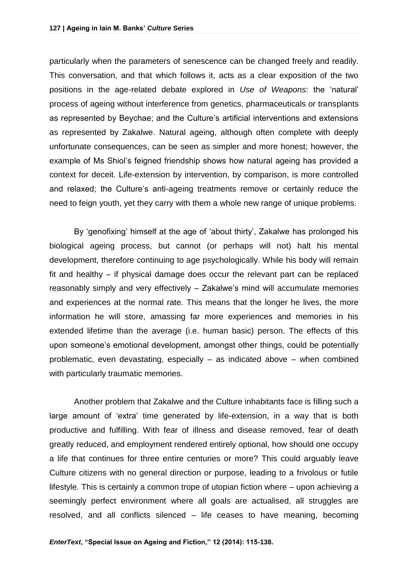particularly when the parameters of senescence can be changed freely and readily. This conversation, and that which follows it, acts as a clear exposition of the two positions in the age-related debate explored in *Use of Weapons*: the 'natural' process of ageing without interference from genetics, pharmaceuticals or transplants as represented by Beychae; and the Culture's artificial interventions and extensions as represented by Zakalwe. Natural ageing, although often complete with deeply unfortunate consequences, can be seen as simpler and more honest; however, the example of Ms Shiol's feigned friendship shows how natural ageing has provided a context for deceit. Life-extension by intervention, by comparison, is more controlled and relaxed; the Culture's anti-ageing treatments remove or certainly reduce the need to feign youth, yet they carry with them a whole new range of unique problems.

By 'genofixing' himself at the age of 'about thirty', Zakalwe has prolonged his biological ageing process, but cannot (or perhaps will not) halt his mental development, therefore continuing to age psychologically. While his body will remain fit and healthy – if physical damage does occur the relevant part can be replaced reasonably simply and very effectively – Zakalwe's mind will accumulate memories and experiences at the normal rate. This means that the longer he lives, the more information he will store, amassing far more experiences and memories in his extended lifetime than the average (i.e. human basic) person. The effects of this upon someone's emotional development, amongst other things, could be potentially problematic, even devastating, especially – as indicated above – when combined with particularly traumatic memories.

Another problem that Zakalwe and the Culture inhabitants face is filling such a large amount of 'extra' time generated by life-extension, in a way that is both productive and fulfilling. With fear of illness and disease removed, fear of death greatly reduced, and employment rendered entirely optional, how should one occupy a life that continues for three entire centuries or more? This could arguably leave Culture citizens with no general direction or purpose, leading to a frivolous or futile lifestyle. This is certainly a common trope of utopian fiction where – upon achieving a seemingly perfect environment where all goals are actualised, all struggles are resolved, and all conflicts silenced – life ceases to have meaning, becoming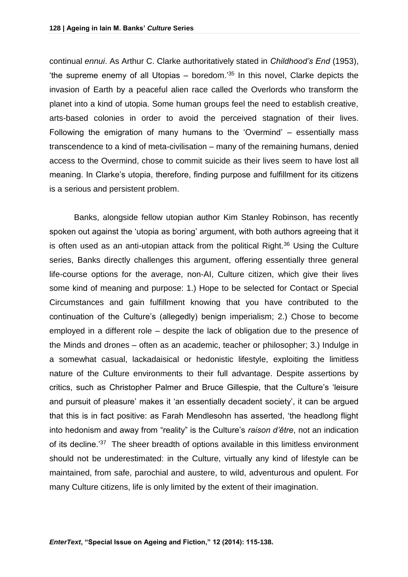continual *ennui*. As Arthur C. Clarke authoritatively stated in *Childhood's End* (1953), 'the supreme enemy of all Utopias  $-$  boredom.<sup>'35</sup> In this novel, Clarke depicts the invasion of Earth by a peaceful alien race called the Overlords who transform the planet into a kind of utopia. Some human groups feel the need to establish creative, arts-based colonies in order to avoid the perceived stagnation of their lives. Following the emigration of many humans to the 'Overmind' – essentially mass transcendence to a kind of meta-civilisation – many of the remaining humans, denied access to the Overmind, chose to commit suicide as their lives seem to have lost all meaning. In Clarke's utopia, therefore, finding purpose and fulfillment for its citizens is a serious and persistent problem.

Banks, alongside fellow utopian author Kim Stanley Robinson, has recently spoken out against the 'utopia as boring' argument, with both authors agreeing that it is often used as an anti-utopian attack from the political Right. $36$  Using the Culture series, Banks directly challenges this argument, offering essentially three general life-course options for the average, non-AI, Culture citizen, which give their lives some kind of meaning and purpose: 1.) Hope to be selected for Contact or Special Circumstances and gain fulfillment knowing that you have contributed to the continuation of the Culture's (allegedly) benign imperialism; 2.) Chose to become employed in a different role – despite the lack of obligation due to the presence of the Minds and drones – often as an academic, teacher or philosopher; 3.) Indulge in a somewhat casual, lackadaisical or hedonistic lifestyle, exploiting the limitless nature of the Culture environments to their full advantage. Despite assertions by critics, such as Christopher Palmer and Bruce Gillespie, that the Culture's 'leisure and pursuit of pleasure' makes it 'an essentially decadent society', it can be argued that this is in fact positive: as Farah Mendlesohn has asserted, 'the headlong flight into hedonism and away from "reality" is the Culture's *raison d'être*, not an indication of its decline.<sup>'37</sup> The sheer breadth of options available in this limitless environment should not be underestimated: in the Culture, virtually any kind of lifestyle can be maintained, from safe, parochial and austere, to wild, adventurous and opulent. For many Culture citizens, life is only limited by the extent of their imagination.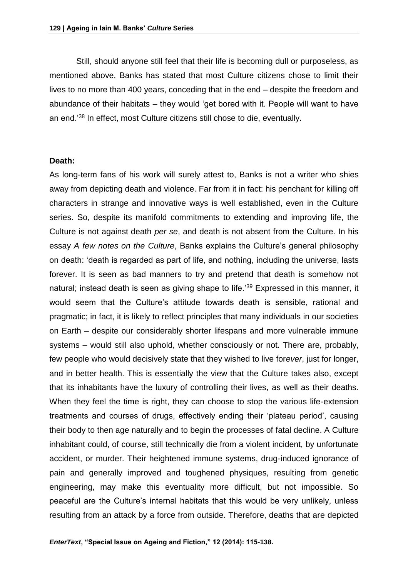Still, should anyone still feel that their life is becoming dull or purposeless, as mentioned above, Banks has stated that most Culture citizens chose to limit their lives to no more than 400 years, conceding that in the end – despite the freedom and abundance of their habitats – they would 'get bored with it. People will want to have an end.'<sup>38</sup> In effect, most Culture citizens still chose to die, eventually.

#### **Death:**

As long-term fans of his work will surely attest to, Banks is not a writer who shies away from depicting death and violence. Far from it in fact: his penchant for killing off characters in strange and innovative ways is well established, even in the Culture series. So, despite its manifold commitments to extending and improving life, the Culture is not against death *per se*, and death is not absent from the Culture. In his essay *A few notes on the Culture*, Banks explains the Culture's general philosophy on death: 'death is regarded as part of life, and nothing, including the universe, lasts forever. It is seen as bad manners to try and pretend that death is somehow not natural; instead death is seen as giving shape to life.<sup>'39</sup> Expressed in this manner, it would seem that the Culture's attitude towards death is sensible, rational and pragmatic; in fact, it is likely to reflect principles that many individuals in our societies on Earth – despite our considerably shorter lifespans and more vulnerable immune systems – would still also uphold, whether consciously or not. There are, probably, few people who would decisively state that they wished to live for*ever*, just for longer, and in better health. This is essentially the view that the Culture takes also, except that its inhabitants have the luxury of controlling their lives, as well as their deaths. When they feel the time is right, they can choose to stop the various life-extension treatments and courses of drugs, effectively ending their 'plateau period', causing their body to then age naturally and to begin the processes of fatal decline. A Culture inhabitant could, of course, still technically die from a violent incident, by unfortunate accident, or murder. Their heightened immune systems, drug-induced ignorance of pain and generally improved and toughened physiques, resulting from genetic engineering, may make this eventuality more difficult, but not impossible. So peaceful are the Culture's internal habitats that this would be very unlikely, unless resulting from an attack by a force from outside. Therefore, deaths that are depicted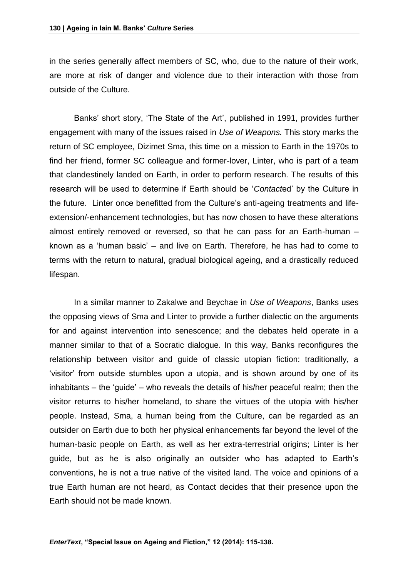in the series generally affect members of SC, who, due to the nature of their work, are more at risk of danger and violence due to their interaction with those from outside of the Culture.

Banks' short story, 'The State of the Art', published in 1991, provides further engagement with many of the issues raised in *Use of Weapons.* This story marks the return of SC employee, Dizimet Sma, this time on a mission to Earth in the 1970s to find her friend, former SC colleague and former-lover, Linter, who is part of a team that clandestinely landed on Earth, in order to perform research. The results of this research will be used to determine if Earth should be '*Contact*ed' by the Culture in the future. Linter once benefitted from the Culture's anti-ageing treatments and lifeextension/-enhancement technologies, but has now chosen to have these alterations almost entirely removed or reversed, so that he can pass for an Earth-human – known as a 'human basic' – and live on Earth. Therefore, he has had to come to terms with the return to natural, gradual biological ageing, and a drastically reduced lifespan.

In a similar manner to Zakalwe and Beychae in *Use of Weapons*, Banks uses the opposing views of Sma and Linter to provide a further dialectic on the arguments for and against intervention into senescence; and the debates held operate in a manner similar to that of a Socratic dialogue. In this way, Banks reconfigures the relationship between visitor and guide of classic utopian fiction: traditionally, a 'visitor' from outside stumbles upon a utopia, and is shown around by one of its inhabitants – the 'guide' – who reveals the details of his/her peaceful realm; then the visitor returns to his/her homeland, to share the virtues of the utopia with his/her people. Instead, Sma, a human being from the Culture, can be regarded as an outsider on Earth due to both her physical enhancements far beyond the level of the human-basic people on Earth, as well as her extra-terrestrial origins; Linter is her guide, but as he is also originally an outsider who has adapted to Earth's conventions, he is not a true native of the visited land. The voice and opinions of a true Earth human are not heard, as Contact decides that their presence upon the Earth should not be made known.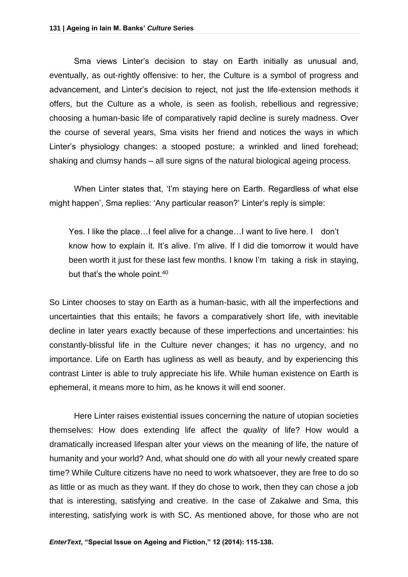Sma views Linter's decision to stay on Earth initially as unusual and, eventually, as out-rightly offensive: to her, the Culture is a symbol of progress and advancement, and Linter's decision to reject, not just the life-extension methods it offers, but the Culture as a whole, is seen as foolish, rebellious and regressive; choosing a human-basic life of comparatively rapid decline is surely madness. Over the course of several years, Sma visits her friend and notices the ways in which Linter's physiology changes: a stooped posture; a wrinkled and lined forehead; shaking and clumsy hands – all sure signs of the natural biological ageing process.

When Linter states that, 'I'm staying here on Earth. Regardless of what else might happen', Sma replies: 'Any particular reason?' Linter's reply is simple:

Yes. I like the place…I feel alive for a change…I want to live here. I don't know how to explain it. It's alive. I'm alive. If I did die tomorrow it would have been worth it just for these last few months. I know I'm taking a risk in staying, but that's the whole point.<sup>40</sup>

So Linter chooses to stay on Earth as a human-basic, with all the imperfections and uncertainties that this entails; he favors a comparatively short life, with inevitable decline in later years exactly because of these imperfections and uncertainties: his constantly-blissful life in the Culture never changes; it has no urgency, and no importance. Life on Earth has ugliness as well as beauty, and by experiencing this contrast Linter is able to truly appreciate his life. While human existence on Earth is ephemeral, it means more to him, as he knows it will end sooner.

Here Linter raises existential issues concerning the nature of utopian societies themselves: How does extending life affect the *quality* of life? How would a dramatically increased lifespan alter your views on the meaning of life, the nature of humanity and your world? And, what should one *do* with all your newly created spare time? While Culture citizens have no need to work whatsoever, they are free to do so as little or as much as they want. If they do chose to work, then they can chose a job that is interesting, satisfying and creative. In the case of Zakalwe and Sma, this interesting, satisfying work is with SC. As mentioned above, for those who are not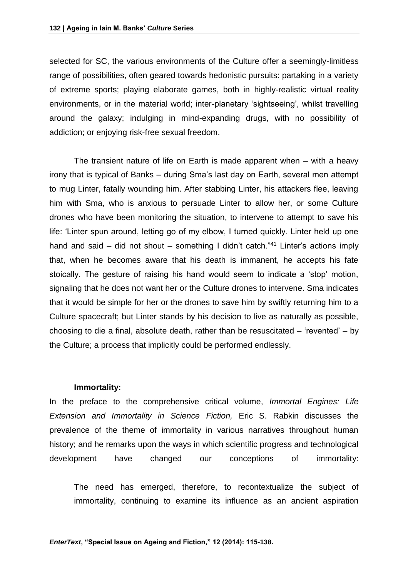selected for SC, the various environments of the Culture offer a seemingly-limitless range of possibilities, often geared towards hedonistic pursuits: partaking in a variety of extreme sports; playing elaborate games, both in highly-realistic virtual reality environments, or in the material world; inter-planetary 'sightseeing', whilst travelling around the galaxy; indulging in mind-expanding drugs, with no possibility of addiction; or enjoying risk-free sexual freedom.

The transient nature of life on Earth is made apparent when – with a heavy irony that is typical of Banks – during Sma's last day on Earth, several men attempt to mug Linter, fatally wounding him. After stabbing Linter, his attackers flee, leaving him with Sma, who is anxious to persuade Linter to allow her, or some Culture drones who have been monitoring the situation, to intervene to attempt to save his life: 'Linter spun around, letting go of my elbow, I turned quickly. Linter held up one hand and said – did not shout – something I didn't catch.<sup>"41</sup> Linter's actions imply that, when he becomes aware that his death is immanent, he accepts his fate stoically. The gesture of raising his hand would seem to indicate a 'stop' motion, signaling that he does not want her or the Culture drones to intervene. Sma indicates that it would be simple for her or the drones to save him by swiftly returning him to a Culture spacecraft; but Linter stands by his decision to live as naturally as possible, choosing to die a final, absolute death, rather than be resuscitated – 'revented' – by the Culture; a process that implicitly could be performed endlessly.

#### **Immortality:**

In the preface to the comprehensive critical volume, *Immortal Engines: Life Extension and Immortality in Science Fiction,* Eric S. Rabkin discusses the prevalence of the theme of immortality in various narratives throughout human history; and he remarks upon the ways in which scientific progress and technological development have changed our conceptions of immortality:

The need has emerged, therefore, to recontextualize the subject of immortality, continuing to examine its influence as an ancient aspiration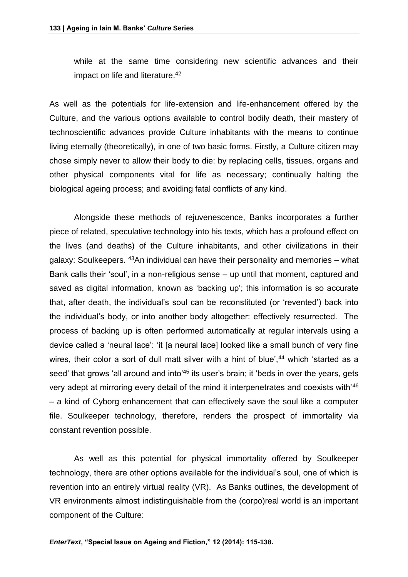while at the same time considering new scientific advances and their impact on life and literature.<sup>42</sup>

As well as the potentials for life-extension and life-enhancement offered by the Culture, and the various options available to control bodily death, their mastery of technoscientific advances provide Culture inhabitants with the means to continue living eternally (theoretically), in one of two basic forms. Firstly, a Culture citizen may chose simply never to allow their body to die: by replacing cells, tissues, organs and other physical components vital for life as necessary; continually halting the biological ageing process; and avoiding fatal conflicts of any kind.

Alongside these methods of rejuvenescence, Banks incorporates a further piece of related, speculative technology into his texts, which has a profound effect on the lives (and deaths) of the Culture inhabitants, and other civilizations in their galaxy: Soulkeepers.  $43$ An individual can have their personality and memories – what Bank calls their 'soul', in a non-religious sense – up until that moment, captured and saved as digital information, known as 'backing up'; this information is so accurate that, after death, the individual's soul can be reconstituted (or 'revented') back into the individual's body, or into another body altogether: effectively resurrected. The process of backing up is often performed automatically at regular intervals using a device called a 'neural lace': 'it [a neural lace] looked like a small bunch of very fine wires, their color a sort of dull matt silver with a hint of blue',<sup>44</sup> which 'started as a seed' that grows 'all around and into<sup>'45</sup> its user's brain; it 'beds in over the years, gets very adept at mirroring every detail of the mind it interpenetrates and coexists with'<sup>46</sup> – a kind of Cyborg enhancement that can effectively save the soul like a computer file. Soulkeeper technology, therefore, renders the prospect of immortality via constant revention possible.

As well as this potential for physical immortality offered by Soulkeeper technology, there are other options available for the individual's soul, one of which is revention into an entirely virtual reality (VR). As Banks outlines, the development of VR environments almost indistinguishable from the (corpo)real world is an important component of the Culture: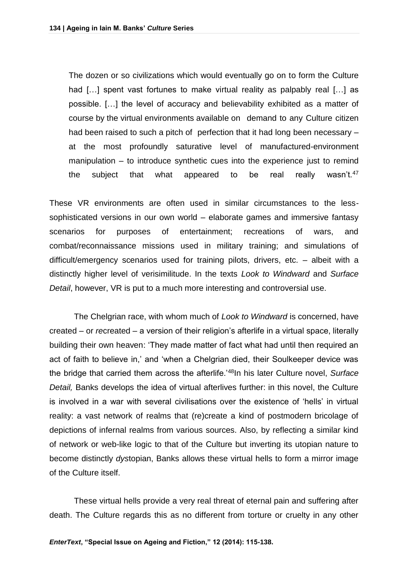The dozen or so civilizations which would eventually go on to form the Culture had [...] spent vast fortunes to make virtual reality as palpably real [...] as possible. […] the level of accuracy and believability exhibited as a matter of course by the virtual environments available on demand to any Culture citizen had been raised to such a pitch of perfection that it had long been necessary – at the most profoundly saturative level of manufactured-environment manipulation – to introduce synthetic cues into the experience just to remind the subject that what appeared to be real really wasn't.<sup>47</sup>

These VR environments are often used in similar circumstances to the lesssophisticated versions in our own world – elaborate games and immersive fantasy scenarios for purposes of entertainment; recreations of wars, and combat/reconnaissance missions used in military training; and simulations of difficult/emergency scenarios used for training pilots, drivers, etc. – albeit with a distinctly higher level of verisimilitude. In the texts *Look to Windward* and *Surface Detail*, however, VR is put to a much more interesting and controversial use.

The Chelgrian race, with whom much of *Look to Windward* is concerned, have created – or *re*created – a version of their religion's afterlife in a virtual space, literally building their own heaven: 'They made matter of fact what had until then required an act of faith to believe in,' and 'when a Chelgrian died, their Soulkeeper device was the bridge that carried them across the afterlife.'<sup>48</sup>In his later Culture novel, *Surface Detail,* Banks develops the idea of virtual afterlives further: in this novel, the Culture is involved in a war with several civilisations over the existence of 'hells' in virtual reality: a vast network of realms that (re)create a kind of postmodern bricolage of depictions of infernal realms from various sources. Also, by reflecting a similar kind of network or web-like logic to that of the Culture but inverting its utopian nature to become distinctly *dys*topian, Banks allows these virtual hells to form a mirror image of the Culture itself.

These virtual hells provide a very real threat of eternal pain and suffering after death. The Culture regards this as no different from torture or cruelty in any other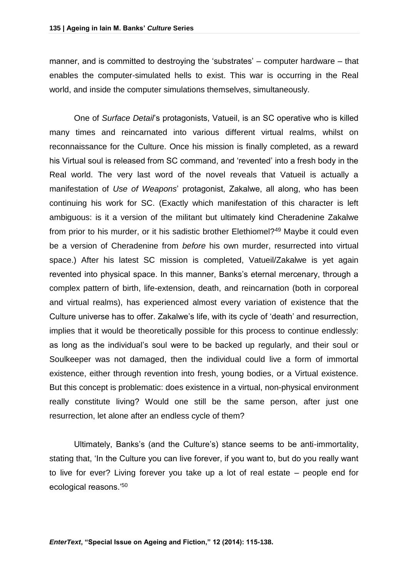manner, and is committed to destroying the 'substrates' – computer hardware – that enables the computer-simulated hells to exist. This war is occurring in the Real world, and inside the computer simulations themselves, simultaneously.

One of *Surface Detail*'s protagonists, Vatueil, is an SC operative who is killed many times and reincarnated into various different virtual realms, whilst on reconnaissance for the Culture. Once his mission is finally completed, as a reward his Virtual soul is released from SC command, and 'revented' into a fresh body in the Real world. The very last word of the novel reveals that Vatueil is actually a manifestation of *Use of Weapons*' protagonist, Zakalwe, all along, who has been continuing his work for SC. (Exactly which manifestation of this character is left ambiguous: is it a version of the militant but ultimately kind Cheradenine Zakalwe from prior to his murder, or it his sadistic brother Elethiomel?<sup>49</sup> Maybe it could even be a version of Cheradenine from *before* his own murder, resurrected into virtual space.) After his latest SC mission is completed, Vatueil/Zakalwe is yet again revented into physical space. In this manner, Banks's eternal mercenary, through a complex pattern of birth, life-extension, death, and reincarnation (both in corporeal and virtual realms), has experienced almost every variation of existence that the Culture universe has to offer. Zakalwe's life, with its cycle of 'death' and resurrection, implies that it would be theoretically possible for this process to continue endlessly: as long as the individual's soul were to be backed up regularly, and their soul or Soulkeeper was not damaged, then the individual could live a form of immortal existence, either through revention into fresh, young bodies, or a Virtual existence. But this concept is problematic: does existence in a virtual, non-physical environment really constitute living? Would one still be the same person, after just one resurrection, let alone after an endless cycle of them?

Ultimately, Banks's (and the Culture's) stance seems to be anti-immortality, stating that, 'In the Culture you can live forever, if you want to, but do you really want to live for ever? Living forever you take up a lot of real estate – people end for ecological reasons.'50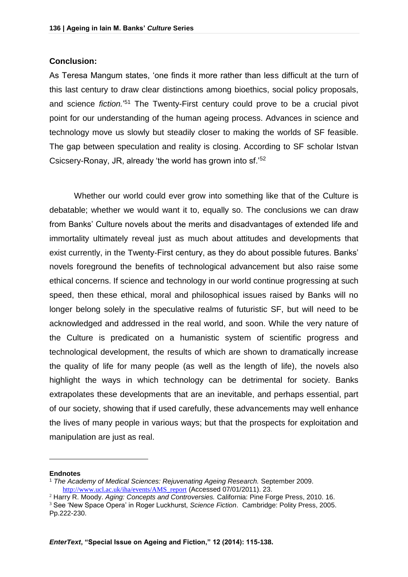#### **Conclusion:**

As Teresa Mangum states, 'one finds it more rather than less difficult at the turn of this last century to draw clear distinctions among bioethics, social policy proposals, and science *fiction.*' <sup>51</sup> The Twenty-First century could prove to be a crucial pivot point for our understanding of the human ageing process. Advances in science and technology move us slowly but steadily closer to making the worlds of SF feasible. The gap between speculation and reality is closing. According to SF scholar Istvan Csicsery-Ronay, JR, already 'the world has grown into sf.'<sup>52</sup>

Whether our world could ever grow into something like that of the Culture is debatable; whether we would want it to, equally so. The conclusions we can draw from Banks' Culture novels about the merits and disadvantages of extended life and immortality ultimately reveal just as much about attitudes and developments that exist currently, in the Twenty-First century, as they do about possible futures. Banks' novels foreground the benefits of technological advancement but also raise some ethical concerns. If science and technology in our world continue progressing at such speed, then these ethical, moral and philosophical issues raised by Banks will no longer belong solely in the speculative realms of futuristic SF, but will need to be acknowledged and addressed in the real world, and soon. While the very nature of the Culture is predicated on a humanistic system of scientific progress and technological development, the results of which are shown to dramatically increase the quality of life for many people (as well as the length of life), the novels also highlight the ways in which technology can be detrimental for society. Banks extrapolates these developments that are an inevitable, and perhaps essential, part of our society, showing that if used carefully, these advancements may well enhance the lives of many people in various ways; but that the prospects for exploitation and manipulation are just as real.

#### **Endnotes**

 $\overline{a}$ 

<sup>1</sup> *The Academy of Medical Sciences: Rejuvenating Ageing Research.* September 2009. [http://www.ucl.ac.uk/iha/events/AMS\\_report](http://www.ucl.ac.uk/iha/events/AMS_report) (Accessed 07/01/2011). 23.

<sup>2</sup> Harry R. Moody. *Aging: Concepts and Controversies.* California: Pine Forge Press, 2010. 16. <sup>3</sup> See 'New Space Opera' in Roger Luckhurst, *Science Fiction*. Cambridge: Polity Press, 2005. Pp.222-230.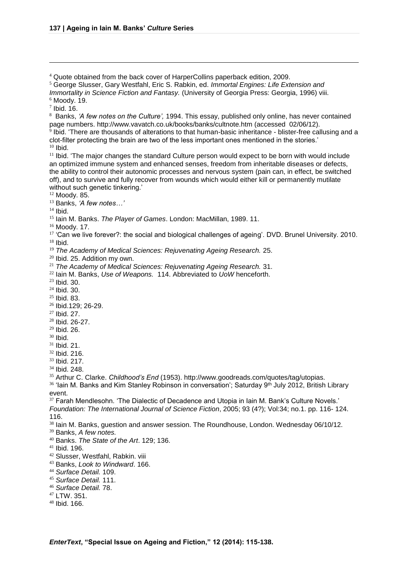Quote obtained from the back cover of HarperCollins paperback edition, 2009.

George Slusser, Gary Westfahl, Eric S. Rabkin, ed. *Immortal Engines: Life Extension and* 

*Immortality in Science Fiction and Fantasy.* (University of Georgia Press: Georgia, 1996) viii.

Moody. 19.

 $<sup>7</sup>$  Ibid. 16.</sup>

 $\overline{a}$ 

 Banks, *'A few notes on the Culture',* 1994. This essay, published only online, has never contained page numbers. http://www.vavatch.co.uk/books/banks/cultnote.htm (accessed 02/06/12).

 $^9$  lbid. 'There are thousands of alterations to that human-basic inheritance - blister-free callusing and a clot-filter protecting the brain are two of the less important ones mentioned in the stories.'

Ibid.

<sup>11</sup> Ibid. 'The major changes the standard Culture person would expect to be born with would include an optimized immune system and enhanced senses, freedom from inheritable diseases or defects, the ability to control their autonomic processes and nervous system (pain can, in effect, be switched off), and to survive and fully recover from wounds which would either kill or permanently mutilate without such genetic tinkering.'

Moody. 85.

Banks, *'A few notes…'*

Ibid.

Iain M. Banks. *The Player of Games*. London: MacMillan, 1989. 11.

Moody. 17.

<sup>17</sup> 'Can we live forever?: the social and biological challenges of ageing'. DVD. Brunel University. 2010. Ibid.

*The Academy of Medical Sciences: Rejuvenating Ageing Research.* 25.

<sup>20</sup> Ibid. 25. Addition my own.

*The Academy of Medical Sciences: Rejuvenating Ageing Research.* 31.

Iain M. Banks, *Use of Weapons.* 114. Abbreviated to *UoW* henceforth.

Ibid. 30.

Ibid. 30.

Ibid. 83.

Ibid.129; 26-29.

Ibid. 27.

- Ibid. 26-27.
- Ibid. 26.

Ibid.

Ibid. 21.

Ibid. 216.

Ibid. 217.

Ibid. 248.

Arthur C. Clarke. *Childhood's End* (1953). http://www.goodreads.com/quotes/tag/utopias.

 'Iain M. Banks and Kim Stanley Robinson in conversation'; Saturday 9<sup>th</sup> July 2012, British Library event.

<sup>37</sup> Farah Mendlesohn. 'The Dialectic of Decadence and Utopia in Iain M. Bank's Culture Novels.'

*Foundation: The International Journal of Science Fiction*, 2005; 93 (4?); Vol:34; no.1. pp. 116- 124. 116.

<sup>38</sup> Iain M. Banks, guestion and answer session. The Roundhouse, London. Wednesday 06/10/12.

Banks, *A few notes.*

Banks. *The State of the Art*. 129; 136.

Ibid. 196.

- Slusser, Westfahl, Rabkin. viii
- Banks, *Look to Windward*. 166.
- *Surface Detail.* 109.
- *Surface Detail.* 111.
- *Surface Detail.* 78.

LTW. 351.

Ibid. 166.